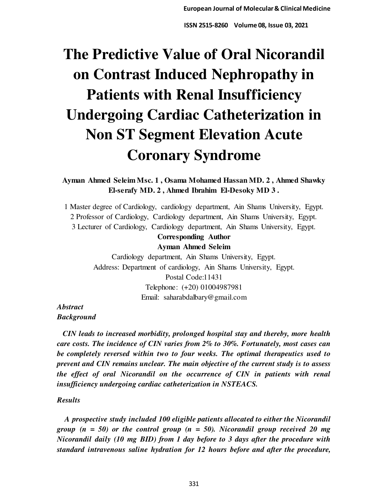# **The Predictive Value of Oral Nicorandil on Contrast Induced Nephropathy in Patients with Renal Insufficiency Undergoing Cardiac Catheterization in Non ST Segment Elevation Acute Coronary Syndrome**

**Ayman Ahmed Seleim Msc. 1 , Osama Mohamed Hassan MD. 2 , Ahmed Shawky El-serafy MD. 2 , Ahmed Ibrahim El-Desoky MD 3 .** 

1 Master degree of Cardiology, cardiology department, Ain Shams University, Egypt. 2 Professor of Cardiology, Cardiology department, Ain Shams University, Egypt. 3 Lecturer of Cardiology, Cardiology department, Ain Shams University, Egypt.

# **Corresponding Author**

**Ayman Ahmed Seleim** 

Cardiology department, Ain Shams University, Egypt. Address: Department of cardiology, Ain Shams University, Egypt. Postal Code:11431 Telephone: (+20) 01004987981 Email: saharabdalbary@gmail.com

*Abstract Background* 

 *CIN leads to increased morbidity, prolonged hospital stay and thereby, more health care costs. The incidence of CIN varies from 2% to 30%. Fortunately, most cases can be completely reversed within two to four weeks. The optimal therapeutics used to prevent and CIN remains unclear. The main objective of the current study is to assess the effect of oral Nicorandil on the occurrence of CIN in patients with renal insufficiency undergoing cardiac catheterization in NSTEACS.* 

# *Results*

 *A prospective study included 100 eligible patients allocated to either the Nicorandil group (n = 50) or the control group (n = 50). Nicorandil group received 20 mg Nicorandil daily (10 mg BID) from 1 day before to 3 days after the procedure with standard intravenous saline hydration for 12 hours before and after the procedure,*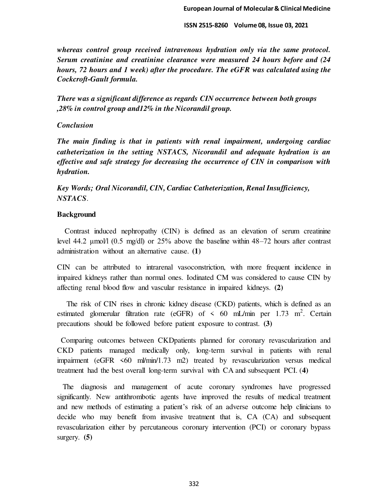*whereas control group received intravenous hydration only via the same protocol. Serum creatinine and creatinine clearance were measured 24 hours before and (24 hours, 72 hours and 1 week) after the procedure. The eGFR was calculated using the Cockcroft-Gault formula.* 

*There was a significant difference as regards CIN occurrence between both groups ,28% in control group and12% in the Nicorandil group.* 

# *Conclusion*

*The main finding is that in patients with renal impairment, undergoing cardiac catheterization in the setting NSTACS, Nicorandil and adequate hydration is an effective and safe strategy for decreasing the occurrence of CIN in comparison with hydration.* 

*Key Words; Oral Nicorandil, CIN, Cardiac Catheterization, Renal Insufficiency, NSTACS*.

# **Background**

 Contrast induced nephropathy (CIN) is defined as an elevation of serum creatinine level 44.2  $\mu$ mol/l (0.5 mg/dl) or 25% above the baseline within 48–72 hours after contrast administration without an alternative cause. **(1)** 

CIN can be attributed to intrarenal vasoconstriction, with more frequent incidence in impaired kidneys rather than normal ones. Iodinated CM was considered to cause CIN by affecting renal blood flow and vascular resistance in impaired kidneys. **(2)**

 The risk of CIN rises in chronic kidney disease (CKD) patients, which is defined as an estimated glomerular filtration rate (eGFR) of  $\leq 60$  mL/min per 1.73 m<sup>2</sup>. Certain precautions should be followed before patient exposure to contrast. **(3)** 

 Comparing outcomes between CKDpatients planned for coronary revascularization and CKD patients managed medically only, long-term survival in patients with renal impairment (eGFR <60 ml/min/1.73 m2) treated by revascularization versus medical treatment had the best overall long-term survival with CA and subsequent PCI. (**4)** 

 The diagnosis and management of acute coronary syndromes have progressed significantly. New antithrombotic agents have improved the results of medical treatment and new methods of estimating a patient's risk of an adverse outcome help clinicians to decide who may benefit from invasive treatment that is, CA (CA) and subsequent revascularization either by percutaneous coronary intervention (PCI) or coronary bypass surgery. **(5)**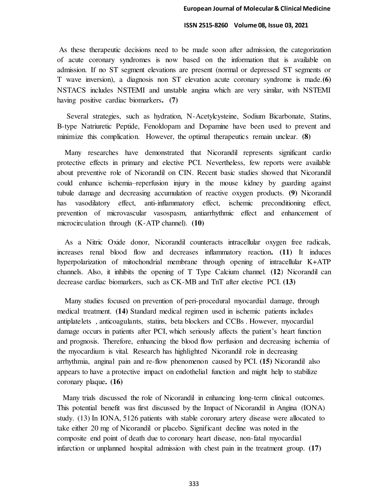As these therapeutic decisions need to be made soon after admission, the categorization of acute coronary syndromes is now based on the information that is available on admission. If no ST segment elevations are present (normal or depressed ST segments or T wave inversion), a diagnosis non ST elevation acute coronary syndrome is made.**(6)** NSTACS includes NSTEMI and unstable angina which are very similar, with NSTEMI having positive cardiac biomarkers**. (7)** 

 Several strategies, such as hydration, N-Acetylcysteine, Sodium Bicarbonate, Statins, B-type Natriuretic Peptide, Fenoldopam and Dopamine have been used to prevent and minimize this complication. However, the optimal therapeutics remain unclear. **(8)**

 Many researches have demonstrated that Nicorandil represents significant cardio protective effects in primary and elective PCI. Nevertheless, few reports were available about preventive role of Nicorandil on CIN. Recent basic studies showed that Nicorandil could enhance ischemia–reperfusion injury in the mouse kidney by guarding against tubule damage and decreasing accumulation of reactive oxygen products. **(9)** Nicorandil has vasodilatory effect, anti-inflammatory effect, ischemic preconditioning effect, prevention of microvascular vasospasm, antiarrhythmic effect and enhancement of microcirculation through (K-ATP channel). **(10)**

 As a Nitric Oxide donor, Nicorandil counteracts intracellular oxygen free radicals, increases renal blood flow and decreases inflammatory reaction**. (11)** It induces hyperpolarization of mitochondrial membrane through opening of intracellular K+ATP channels. Also, it inhibits the opening of T Type Calcium channel. **(12**) Nicorandil can decrease cardiac biomarkers, such as CK-MB and TnT after elective PCI. **(13)**

 Many studies focused on prevention of peri-procedural myocardial damage, through medical treatment. **(14)** Standard medical regimen used in ischemic patients includes antiplatelets , anticoagulants, statins, beta blockers and CCBs . However, myocardial damage occurs in patients after PCI, which seriously affects the patient's heart function and prognosis. Therefore, enhancing the blood flow perfusion and decreasing ischemia of the myocardium is vital. Research has highlighted Nicorandil role in decreasing arrhythmia, anginal pain and re-flow phenomenon caused by PCI. **(15)** Nicorandil also appears to have a protective impact on endothelial function and might help to stabilize coronary plaque**. (16)** 

 Many trials discussed the role of Nicorandil in enhancing long-term clinical outcomes. This potential benefit was first discussed by the Impact of Nicorandil in Angina (IONA) study. (13) In IONA, 5126 patients with stable coronary artery disease were allocated to take either 20 mg of Nicorandil or placebo. Significant decline was noted in the composite end point of death due to coronary heart disease, non-fatal myocardial infarction or unplanned hospital admission with chest pain in the treatment group. **(17)**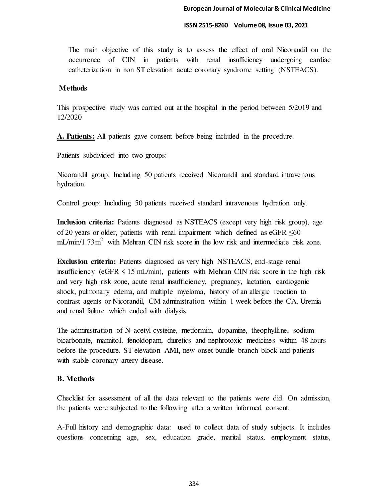The main objective of this study is to assess the effect of oral Nicorandil on the occurrence of CIN in patients with renal insufficiency undergoing cardiac catheterization in non ST elevation acute coronary syndrome setting (NSTEACS).

# **Methods**

This prospective study was carried out at the hospital in the period between 5/2019 and 12/2020

**A. Patients:** All patients gave consent before being included in the procedure.

Patients subdivided into two groups:

Nicorandil group: Including 50 patients received Nicorandil and standard intravenous hydration.

Control group: Including 50 patients received standard intravenous hydration only.

**Inclusion criteria:** Patients diagnosed as NSTEACS (except very high risk group), age of 20 years or older, patients with renal impairment which defined as eGFR  $\leq 60$  $mL/min/1.73m<sup>2</sup>$  with Mehran CIN risk score in the low risk and intermediate risk zone.

**Exclusion criteria:** Patients diagnosed as very high NSTEACS, end-stage renal insufficiency (eGFR < 15 mL/min), patients with Mehran CIN risk score in the high risk and very high risk zone, acute renal insufficiency, pregnancy, lactation, cardiogenic shock, pulmonary edema, and multiple myeloma, history of an allergic reaction to contrast agents or Nicorandil, CM administration within 1 week before the CA. Uremia and renal failure which ended with dialysis.

The administration of N-acetyl cysteine, metformin, dopamine, theophylline, sodium bicarbonate, mannitol, fenoldopam, diuretics and nephrotoxic medicines within 48 hours before the procedure. ST elevation AMI, new onset bundle branch block and patients with stable coronary artery disease.

# **B. Methods**

Checklist for assessment of all the data relevant to the patients were did. On admission, the patients were subjected to the following after a written informed consent.

A-Full history and demographic data: used to collect data of study subjects. It includes questions concerning age, sex, education grade, marital status, employment status,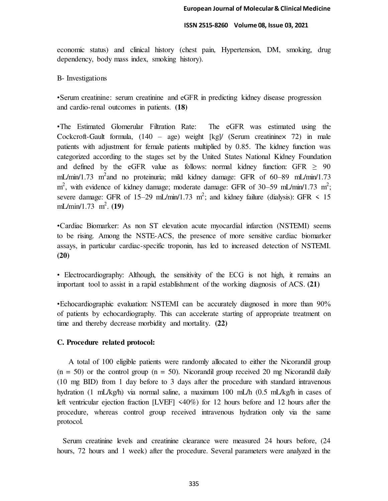economic status) and clinical history (chest pain, Hypertension, DM, smoking, drug dependency, body mass index, smoking history).

## B- Investigations

•Serum creatinine: serum creatinine and eGFR in predicting kidney disease progression and cardio-renal outcomes in patients. **(18)**

•The Estimated Glomerular Filtration Rate: The eGFR was estimated using the Cockcroft-Gault formula,  $(140 - age)$  weight  $\lceil \text{kg} \rceil / (Serum creationine \times 72)$  in male patients with adjustment for female patients multiplied by 0.85. The kidney function was categorized according to the stages set by the United States National Kidney Foundation and defined by the eGFR value as follows: normal kidney function: GFR  $\geq$  90 mL/min/1.73 m<sup>2</sup> and no proteinuria; mild kidney damage: GFR of 60–89 mL/min/1.73  $m^2$ , with evidence of kidney damage; moderate damage: GFR of 30–59 mL/min/1.73 m<sup>2</sup>; severe damage: GFR of 15–29 mL/min/1.73 m<sup>2</sup>; and kidney failure (dialysis): GFR < 15 mL/min/1.73 m<sup>2</sup>. (19)

•Cardiac Biomarker: As non ST elevation acute myocardial infarction (NSTEMI) seems to be rising. Among the NSTE-ACS, the presence of more sensitive cardiac biomarker assays, in particular cardiac-specific troponin, has led to increased detection of NSTEMI. **(20)**

• Electrocardiography: Although, the sensitivity of the ECG is not high, it remains an important tool to assist in a rapid establishment of the working diagnosis of ACS. **(21)**

•Echocardiographic evaluation: NSTEMI can be accurately diagnosed in more than 90% of patients by echocardiography. This can accelerate starting of appropriate treatment on time and thereby decrease morbidity and mortality. **(22)**

# **C. Procedure related protocol:**

 A total of 100 eligible patients were randomly allocated to either the Nicorandil group  $(n = 50)$  or the control group  $(n = 50)$ . Nicorandil group received 20 mg Nicorandil daily (10 mg BID) from 1 day before to 3 days after the procedure with standard intravenous hydration (1 mL/kg/h) via normal saline, a maximum 100 mL/h (0.5 mL/kg/h in cases of left ventricular ejection fraction [LVEF] <40%) for 12 hours before and 12 hours after the procedure, whereas control group received intravenous hydration only via the same protocol.

 Serum creatinine levels and creatinine clearance were measured 24 hours before, (24 hours, 72 hours and 1 week) after the procedure. Several parameters were analyzed in the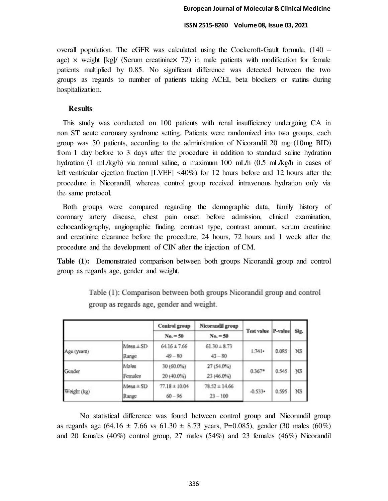overall population. The eGFR was calculated using the Cockcroft-Gault formula, (140 – age)  $\times$  weight [kg]/ (Serum creatinine $\times$  72) in male patients with modification for female patients multiplied by 0.85. No significant difference was detected between the two groups as regards to number of patients taking ACEI, beta blockers or statins during hospitalization.

# **Results**

 This study was conducted on 100 patients with renal insufficiency undergoing CA in non ST acute coronary syndrome setting. Patients were randomized into two groups, each group was 50 patients, according to the administration of Nicorandil 20 mg (10mg BID) from 1 day before to 3 days after the procedure in addition to standard saline hydration hydration (1 mL/kg/h) via normal saline, a maximum 100 mL/h (0.5 mL/kg/h in cases of left ventricular ejection fraction [LVEF] <40%) for 12 hours before and 12 hours after the procedure in Nicorandil, whereas control group received intravenous hydration only via the same protocol.

 Both groups were compared regarding the demographic data, family history of coronary artery disease, chest pain onset before admission, clinical examination, echocardiography, angiographic finding, contrast type, contrast amount, serum creatinine and creatinine clearance before the procedure, 24 hours, 72 hours and 1 week after the procedure and the development of CIN after the injection of CM.

**Table (1):** Demonstrated comparison between both groups Nicorandil group and control group as regards age, gender and weight.

|             |               | Control group     | Nicorandil group  | <b>Test value</b> | P-value | Sig.      |
|-------------|---------------|-------------------|-------------------|-------------------|---------|-----------|
|             |               | $No. = 50$        | $No. = 50$        |                   |         |           |
| Age (years) | $Mean \pm SD$ | $64.16 \pm 7.66$  | $61.30 \pm 8.73$  |                   | 0.085   |           |
|             | Range         | $49 - 80$         | $43 - 80$         | 1.741             |         | NS        |
| Gender      | Males         | 30 (60.0%)        | 27 (54.0%)        |                   | 0.545   | NS        |
|             | Females       | 20 (40.0%)        | 23 (46.0%)        | $0.367*$          |         |           |
| Weight (kg) | $Mean \pm SD$ | $77.18 \pm 10.04$ | $78.52 \pm 14.66$ |                   | 0.595   |           |
|             | Range         | $60 - 96$         | $23 - 100$        | $-0.533$          |         | <b>NS</b> |

Table (1): Comparison between both groups Nicorandil group and control group as regards age, gender and weight.

No statistical difference was found between control group and Nicorandil group as regards age (64.16  $\pm$  7.66 vs 61.30  $\pm$  8.73 years, P=0.085), gender (30 males (60%) and 20 females (40%) control group, 27 males (54%) and 23 females (46%) Nicorandil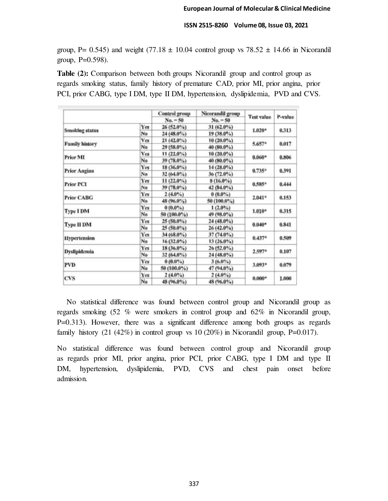group, P= 0.545) and weight  $(77.18 \pm 10.04$  control group vs  $78.52 \pm 14.66$  in Nicorandil group,  $P=0.598$ ).

**Table (2):** Comparison between both groups Nicorandil group and control group as regards smoking status, family history of premature CAD, prior MI, prior angina, prior PCI, prior CABG, type I DM, type II DM, hypertension, dyslipidemia, PVD and CVS.

|                       |            | Control group | Nicorandil group |                   | P-value |
|-----------------------|------------|---------------|------------------|-------------------|---------|
|                       |            | $No. = 50$    | $No. = 50$       | <b>Test value</b> |         |
| <b>Smoking status</b> | Yes        | $26(52.0\%)$  | $31(62.0\%)$     | $1.020*$          | 0.313   |
|                       | No         | $24(48.0\%)$  | $19(38.0\%)$     |                   |         |
|                       | <b>Yes</b> | $21(42.0\%)$  | $10(20.0\%)$     |                   | 0.017   |
| <b>Family history</b> | No         | 29 (58.0%)    | 40 (80.0%)       | 5.657*            |         |
|                       | Yes        | $11(22.0\%)$  | $10(20.0\%)$     |                   |         |
| Prior MI              | No         | 39 (78.0%)    | 40 (80.0%)       | $0.060*$          | 0.806   |
|                       | Yes        | $18(36.0\%)$  | 14 (28.0%)       |                   |         |
| Prior Angina          | No         | 32 (64.0%)    | $36(72.0\%)$     | $0.735*$          | 0.391   |
|                       | Yes        | $11(22.0\%)$  | 8 (16.0%)        |                   | 0.444   |
| <b>Prior PCI</b>      | Ne         | 39 (78.0%)    | 42 (84.0%)       | $0.585*$          |         |
| <b>Prior CABG</b>     | Yes        | $2(4.0\%)$    | $0(0.0\%)$       | $2.041*$          | 0.153   |
|                       | No         | 48 (96.0%)    | 50 (100.0%)      |                   |         |
|                       | Yes        | $0(0.0\%)$    | $1(2.0\%)$       |                   | 0.315   |
| <b>Type I DM</b>      | No         | 50 (100.0%)   | 49 (98.0%)       | $1.010*$          |         |
|                       | Yes        | 25 (50.0%)    | 24 (48.0%)       |                   | 0.841   |
| <b>Type II DM</b>     | No         | $25(50.0\%)$  | $26(42.0\%)$     | $0.040*$          |         |
|                       | Yes        | 34 (68.0%)    | 37 (74.0%)       |                   | 0.509   |
| <b>Hypertension</b>   | No         | 16 (32.0%)    | $13(26.0\%)$     | $0.437*$          |         |
|                       | Yes        | $18(36.0\%)$  | $26(52.0\%)$     |                   | 0.107   |
| <b>Dyslipidemia</b>   | No         | $32(64.0\%)$  | 24 (48.0%)       | $2.597*$          |         |
|                       | Yes        | $0(0.0\%)$    | $3(6.0\%)$       |                   | 0.079   |
| PVD                   | No         | 50 (100.0%)   | 47 (94.0%)       | 3.093*            |         |
|                       | Yes        | $2(4.0\%)$    | $2(4.0\%)$       |                   | 1.000   |
| CVS                   | No         | 48 (96.0%)    | 48 (96.0%)       | $0.000*$          |         |

 No statistical difference was found between control group and Nicorandil group as regards smoking (52 % were smokers in control group and 62% in Nicorandil group, P=0.313). However, there was a significant difference among both groups as regards family history  $(21 (42\%)$  in control group vs 10  $(20\%)$  in Nicorandil group, P=0.017).

No statistical difference was found between control group and Nicorandil group as regards prior MI, prior angina, prior PCI, prior CABG, type I DM and type II DM, hypertension, dyslipidemia, PVD, CVS and chest pain onset before admission.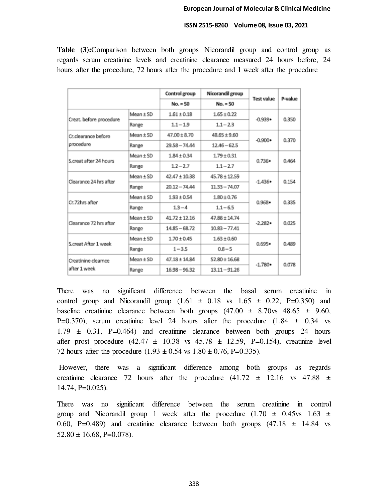**Table (3):**Comparison between both groups Nicorandil group and control group as regards serum creatinine levels and creatinine clearance measured 24 hours before, 24 hours after the procedure, 72 hours after the procedure and 1 week after the procedure

|                         |               | Control group     | Nicorandil group  | <b>Test value</b> | P-value |
|-------------------------|---------------|-------------------|-------------------|-------------------|---------|
|                         |               | $No. = 50$        | $No. = 50$        |                   |         |
|                         | Mean ± SD     | $1.61 \pm 0.18$   | $1.65 \pm 0.22$   | $-0.939 \bullet$  | 0.350   |
| Creat. before procedure | Range         | $1.1 - 1.9$       | $1.1 - 2.3$       |                   |         |
| Cr.dearance before      | $Mean \pm SD$ | $47.00 \pm 8.70$  | $48.65 \pm 9.60$  | $-0.900 \cdot$    | 0.370   |
| procedure               | Range         | $29.58 - 74.44$   | $12.46 - 62.5$    |                   |         |
| S.creat after 24 hours  | $Mean + SD$   | $1.84 \pm 0.34$   | $1.79 \pm 0.31$   | $0.736 -$         | 0.464   |
|                         | Range         | $1.2 - 2.7$       | $1.1 - 2.7$       |                   |         |
| Clearance 24 hrs after  | Mean + SD     | $42.47 \pm 10.38$ | $45.78 \pm 12.59$ | $-1.436$          | 0.154   |
|                         | Range         | $20.12 - 74.44$   | $11.33 - 74.07$   |                   |         |
| Cr.72hrs after          | Mean ± SD     | $1.93 + 0.54$     | $1.80 \pm 0.76$   | $0.968 \bullet$   | 0.335   |
|                         | Range         | $1.3 - 4$         | $1.1 - 6.5$       |                   |         |
| Clearance 72 hrs after  | $Mean \pm SD$ | $41.72 \pm 12.16$ | $47.88 \pm 14.74$ | $-2.282$          | 0.025   |
|                         | Range         | $14.85 - 68.72$   | $10.83 - 77.41$   |                   |         |
| S.creat After 1 week    | $Mean \pm SD$ | $1.70 \pm 0.45$   | $1.63 \pm 0.60$   | $0.695 -$         | 0.489   |
|                         | Range         | $1 - 3.5$         | $0.8 - 5$         |                   |         |
| Creatinine clearnce     | Mean ± SD     | $47.18 \pm 14.84$ | $52.80 \pm 16.68$ | $-1.780+$         | 0.078   |
| after 1 week            | Range         | $16.98 - 96.32$   | $13.11 - 91.26$   |                   |         |

There was no significant difference between the basal serum creatinine in control group and Nicorandil group  $(1.61 \pm 0.18 \text{ vs } 1.65 \pm 0.22, \text{ P=0.350})$  and baseline creatinine clearance between both groups  $(47.00 \pm 8.70)$   $\text{vs} 48.65 \pm 9.60$ , P=0.370), serum creatinine level 24 hours after the procedure  $(1.84 \pm 0.34 \text{ vs } 1.34)$  $1.79 \pm 0.31$ , P=0.464) and creatinine clearance between both groups 24 hours after prost procedure  $(42.47 \pm 10.38 \text{ vs } 45.78 \pm 12.59, \text{ P=0.154})$ , creatinine level 72 hours after the procedure  $(1.93 \pm 0.54 \text{ vs } 1.80 \pm 0.76, P=0.335)$ .

 However, there was a significant difference among both groups as regards creatinine clearance 72 hours after the procedure  $(41.72 \pm 12.16 \text{ vs } 47.88 \pm 12.16)$ 14.74, P=0.025).

There was no significant difference between the serum creatinine in control group and Nicorandil group 1 week after the procedure  $(1.70 \pm 0.45 \text{vs} 1.63 \pm 0.45 \text{vs} 1.63 \pm 0.45 \text{vs} 1.63 \pm 0.45 \text{vs} 1.63 \pm 0.45 \text{vs} 1.63 \pm 0.45 \text{vs} 1.63 \pm 0.45 \text{vs} 1.63 \pm 0.45 \text{vs} 1.63 \pm 0.45 \text{vs} 1.63 \pm 0.45 \$ 0.60, P=0.489) and creatinine clearance between both groups  $(47.18 \pm 14.84 \text{ vs } 10.60)$  $52.80 \pm 16.68$ , P=0.078).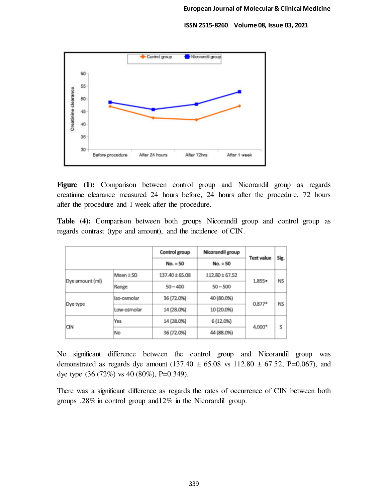

**Figure (1):** Comparison between control group and Nicorandil group as regards creatinine clearance measured 24 hours before, 24 hours after the procedure, 72 hours after the procedure and 1 week after the procedure.

**Table (4):** Comparison between both groups Nicorandil group and control group as regards contrast (type and amount), and the incidence of CIN.

|                 |               | Control group  | Nicorandil group   | <b>Test value</b> |           |
|-----------------|---------------|----------------|--------------------|-------------------|-----------|
|                 |               | $No. = 50$     | $No. = 50$         |                   | Sig.      |
| Dye amount (ml) | Mean $\pm$ SD | 137.40 ± 65.08 | $112.80 \pm 67.52$ | $1.855 -$         | <b>NS</b> |
|                 | Range         | $50 - 400$     | $50 - 500$         |                   |           |
| Dye type        | Iso-osmolar   | 36 (72.0%)     | 40 (80.0%)         | $0.877*$          | ΝS        |
|                 | Low-osmolar   | 14 (28.0%)     | 10 (20.0%)         |                   |           |
| <b>CIN</b>      | Yes           | 14 (28.0%)     | 6 (12.0%)          | $4,000*$          | S         |
|                 | No            | 36 (72.0%)     | 44 (88.0%)         |                   |           |

No significant difference between the control group and Nicorandil group was demonstrated as regards dye amount  $(137.40 \pm 65.08 \text{ vs } 112.80 \pm 67.52, \text{ P=0.067})$ , and dye type (36 (72%) vs 40 (80%), P=0.349).

There was a significant difference as regards the rates of occurrence of CIN between both groups ,28% in control group and12% in the Nicorandil group.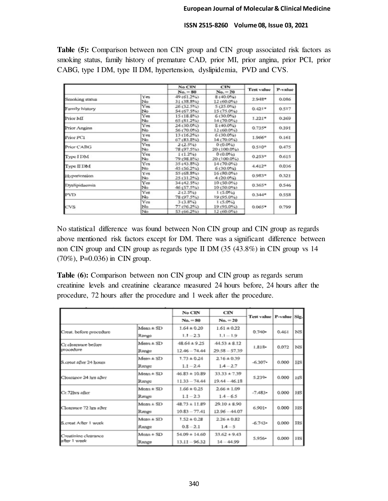**Table (5):** Comparison between non CIN group and CIN group associated risk factors as smoking status, family history of premature CAD, prior MI, prior angina, prior PCI, prior CABG, type I DM, type II DM, hypertension, dyslipidemia, PVD and CVS.

|                |            | No CIN<br>$No. = 80$       | <b>CIN</b><br>$No. = 20$    | <b>Test value</b> | P-value |
|----------------|------------|----------------------------|-----------------------------|-------------------|---------|
|                |            |                            |                             |                   |         |
| Smoking status | Yes.<br>No | 49 (61.2%)<br>31 (38.8%)   | $8(40.0\%)$<br>$12(60.0\%)$ | $2.948*$          | 0.086   |
| Family history | Yes<br>No  | 26 (32.5%)<br>54 (67.5%)   | $5(25.0\%)$<br>15 (75.0%)   | $0.421*$          | 0.517   |
| Prior MI       | Yes<br>No  | 15 (18.8%)<br>$65(81.2\%)$ | $6(30.0\%)$<br>14 (70.0%)   | $1.221*$          | 0.269   |
| Prior Angina   | Yes<br>No  | 24 (30.0%)<br>56 (70.0%)   | $8(40.0\%)$<br>$12(60.0\%)$ | $0.735*$          | 0.391   |
| Prior PC1      | Yes<br>No  | 13 (16.2%)<br>$67(83.8\%)$ | $6(30.0\%)$<br>$14(70.0\%)$ | 1.966*            | 0.161   |
| Prior CABG     | Yes<br>No  | 2(2.5%)<br>78 (97.5%)      | $0(0.0\%)$<br>20 (100.0%)   | $0.510*$          | 0.475   |
| Type I DM      | Yes<br>No  | $1(1.2\%)$<br>79 (98.8%)   | $0(0.0\%)$<br>20 (100.0%)   | $0.253*$          | 0.615   |
| Type II DM     | Yes<br>No  | 35 (43.8%)<br>45 (56.2%)   | 14 (70.0%)<br>$6(30.0\%)$   | $4.412*$          | 0.036   |
| Hypertension   | Yes<br>No. | 55 (68.8%)<br>25 (31.2%)   | 16 (80.0%)<br>4(20.0%)      | $0.983*$          | 0.321   |
| Dyslipidaemia  | Yes<br>No  | 34 (42.5%)<br>46 (57.5%)   | $10(50.0\%)$<br>10 (50.0%)  | $0.365*$          | 0.546   |
| <b>PVD</b>     | Yes<br>No  | $2(2.5\%)$<br>78 (97.5%)   | $1(5.0\%)$<br>19 (95.0%)    | $0.344*$          | 0.558   |
| <b>CVS</b>     | Yes<br>No  | 3(3.8%)<br>77 (96.2%)      | $1(5.0\%)$<br>19 (95.0%)    | $0.065*$          | 0.799   |
|                | No         | 53 (66.2%)                 | 12 (60.0%)                  |                   |         |

No statistical difference was found between Non CIN group and CIN group as regards above mentioned risk factors except for DM. There was a significant difference between non CIN group and CIN group as regards type II DM (35 (43.8%) in CIN group vs 14 (70%), P=0.036) in CIN group.

**Table (6):** Comparison between non CIN group and CIN group as regards serum creatinine levels and creatinine clearance measured 24 hours before, 24 hours after the procedure, 72 hours after the procedure and 1 week after the procedure.

|                         |               | No CIN            | CIN              |           | Test value   P-value   Sig. |             |
|-------------------------|---------------|-------------------|------------------|-----------|-----------------------------|-------------|
|                         |               | $No. = 80$        | $No. = 20$       |           |                             |             |
|                         | $Mean \pm SD$ | $1.64 \pm 0.20$   | $1.61 \pm 0.22$  |           | 0.461                       | <b>NS</b>   |
| Creat. before procedure | Range         | $1.1 - 2.3$       | $1.1 - 1.9$      | $0.740 -$ |                             |             |
| Cr.clearance before     | $Mean \pm SD$ | $48.64 \pm 9.25$  | $44.53 \pm 8.12$ |           | 0.072                       | NS          |
| procedure               | Range         | $12.46 - 74.44$   | $29.58 - 57.39$  | $1.818 -$ |                             |             |
|                         | $Mean \pm SD$ | $1.73 \pm 0.24$   | $2.16 \pm 0.39$  |           | 0.000                       | $_{\rm HS}$ |
| S.creat after 24 hours  | Ransee        | $1.1 - 2.4$       | $1A - 2.7$       | $-6.307$  |                             |             |
|                         | $Mean \pm SD$ | $46.83 \pm 10.89$ | $33.33 \pm 7.39$ |           | 0.000                       | нs          |
| Clearance 24 hrs after  | Range         | $11.33 - 74.44$   | $19.44 - 46.18$  | $5.239 +$ |                             |             |
|                         | $Mean \pm SD$ | $1.66 \pm 0.25$   | $2.66 \pm 1.09$  |           | 0.000                       | HS          |
| Cr.72hrs after          | Ramgee        | $1.1 - 2.3$       | $14 - 6.5$       | $-7.483-$ |                             |             |
| Clearance 72 hrs after  | $Mean \pm SD$ | $48.73 \pm 11.89$ | $29.10 \pm 8.90$ |           | 0.000                       | $_{\rm HS}$ |
|                         | Ramge         | $10.83 - 77.41$   | $12.96 - 44.07$  | $6.901 -$ |                             |             |
| S.creat After 1 week    | $Mean \pm SD$ | $1.52 \pm 0.28$   | $2.26 \pm 0.82$  | $-6.743-$ | 0.000                       | HS          |
|                         | Range         | $0.8 - 2.1$       | $1.4 - 5$        |           |                             |             |
| Creatinine clearance    | $Mean + SD$   | $54.09 \pm 14.60$ | $33.62 + 9.43$   |           |                             |             |
| after 1 week            | Range         | $13.11 - 96.32$   | $14 - 44.99$     | $5.956+$  | 0.000                       | HS          |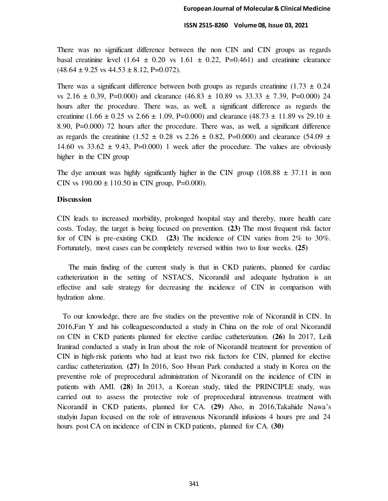There was no significant difference between the non CIN and CIN groups as regards basal creatinine level  $(1.64 \pm 0.20 \text{ vs } 1.61 \pm 0.22, \text{ P} = 0.461)$  and creatinine clearance  $(48.64 \pm 9.25 \text{ vs } 44.53 \pm 8.12, \text{ P} = 0.072).$ 

There was a significant difference between both groups as regards creatinine  $(1.73 \pm 0.24)$ vs 2.16  $\pm$  0.39, P=0.000) and clearance (46.83  $\pm$  10.89 vs 33.33  $\pm$  7.39, P=0.000) 24 hours after the procedure. There was, as well, a significant difference as regards the creatinine (1.66  $\pm$  0.25 vs 2.66  $\pm$  1.09, P=0.000) and clearance (48.73  $\pm$  11.89 vs 29.10  $\pm$ 8.90, P=0.000) 72 hours after the procedure. There was, as well, a significant difference as regards the creatinine (1.52  $\pm$  0.28 vs 2.26  $\pm$  0.82, P=0.000) and clearance (54.09  $\pm$ 14.60 vs  $33.62 \pm 9.43$ , P=0.000) 1 week after the procedure. The values are obviously higher in the CIN group

The dye amount was highly significantly higher in the CIN group (108.88  $\pm$  37.11 in non CIN vs  $190.00 \pm 110.50$  in CIN group, P=0.000).

# **Discussion**

CIN leads to increased morbidity, prolonged hospital stay and thereby, more health care costs. Today, the target is being focused on prevention. **(23)** The most frequent risk factor for of CIN is pre-existing CKD. **(23)** The incidence of CIN varies from 2% to 30%. Fortunately, most cases can be completely reversed within two to four weeks. **(25)**

 The main finding of the current study is that in CKD patients, planned for cardiac catheterization in the setting of NSTACS, Nicorandil and adequate hydration is an effective and safe strategy for decreasing the incidence of CIN in comparison with hydration alone.

 To our knowledge, there are five studies on the preventive role of Nicorandil in CIN. In 2016,Fan Y and his colleaguesconducted a study in China on the role of oral Nicorandil on CIN in CKD patients planned for elective cardiac catheterization. **(26)** In 2017, Leili Iranirad conducted a study in Iran about the role of Nicorandil treatment for prevention of CIN in high-risk patients who had at least two risk factors for CIN, planned for elective cardiac catheterization. **(27)** In 2016, Soo Hwan Park conducted a study in Korea on the preventive role of preprocedural administration of Nicorandil on the incidence of CIN in patients with AMI. **(28**) In 2013, a Korean study, titled the PRINCIPLE study, was carried out to assess the protective role of preprocedural intravenous treatment with Nicorandil in CKD patients, planned for CA. **(29)** Also, in 2016,Takahide Nawa's studyin Japan focused on the role of intravenous Nicorandil infusions 4 hours pre and 24 hours post CA on incidence of CIN in CKD patients, planned for CA. **(30)**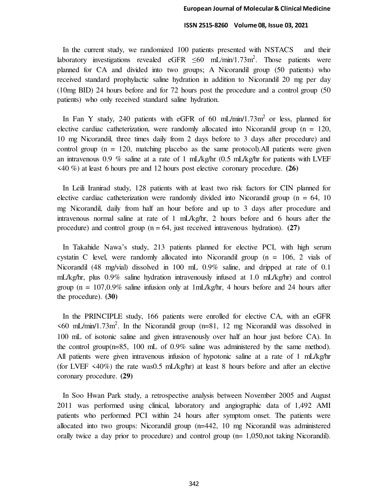In the current study, we randomized 100 patients presented with NSTACS and their laboratory investigations revealed eGFR  $\leq 60$  mL/min/1.73m<sup>2</sup>. Those patients were planned for CA and divided into two groups; A Nicorandil group (50 patients) who received standard prophylactic saline hydration in addition to Nicorandil 20 mg per day (10mg BID) 24 hours before and for 72 hours post the procedure and a control group (50 patients) who only received standard saline hydration.

In Fan Y study, 240 patients with eGFR of 60 mL/min/1.73m<sup>2</sup> or less, planned for elective cardiac catheterization, were randomly allocated into Nicorandil group ( $n = 120$ , 10 mg Nicorandil, three times daily from 2 days before to 3 days after procedure) and control group  $(n = 120)$ , matching placebo as the same protocol). All patients were given an intravenous 0.9 % saline at a rate of 1 mL/kg/hr (0.5 mL/kg/hr for patients with LVEF <40 %) at least 6 hours pre and 12 hours post elective coronary procedure. **(26)**

 In Leili Iranirad study, 128 patients with at least two risk factors for CIN planned for elective cardiac catheterization were randomly divided into Nicorandil group ( $n = 64$ , 10) mg Nicorandil, daily from half an hour before and up to 3 days after procedure and intravenous normal saline at rate of 1 mL/kg/hr, 2 hours before and 6 hours after the procedure) and control group  $(n = 64$ , just received intravenous hydration). **(27)** 

 In Takahide Nawa's study, 213 patients planned for elective PCI, with high serum cystatin C level, were randomly allocated into Nicorandil group  $(n = 106, 2$  vials of Nicorandil (48 mg/vial) dissolved in 100 mL 0.9% saline, and dripped at rate of 0.1 mL/kg/hr, plus 0.9% saline hydration intravenously infused at 1.0 mL/kg/hr) and control group ( $n = 107,0.9\%$  saline infusion only at 1mL/kg/hr, 4 hours before and 24 hours after the procedure). **(30)**

 In the PRINCIPLE study, 166 patients were enrolled for elective CA, with an eGFR  $\leq 60$  mL/min/1.73m<sup>2</sup>. In the Nicorandil group (n=81, 12 mg Nicorandil was dissolved in 100 mL of isotonic saline and given intravenously over half an hour just before CA). In the control group( $n=85$ , 100 mL of 0.9% saline was administered by the same method). All patients were given intravenous infusion of hypotonic saline at a rate of 1 mL/kg/hr (for LVEF <40%) the rate was0.5 mL/kg/hr) at least 8 hours before and after an elective coronary procedure. **(29)**

 In Soo Hwan Park study, a retrospective analysis between November 2005 and August 2011 was performed using clinical, laboratory and angiographic data of 1,492 AMI patients who performed PCI within 24 hours after symptom onset. The patients were allocated into two groups: Nicorandil group (n=442, 10 mg Nicorandil was administered orally twice a day prior to procedure) and control group (n= 1,050,not taking Nicorandil).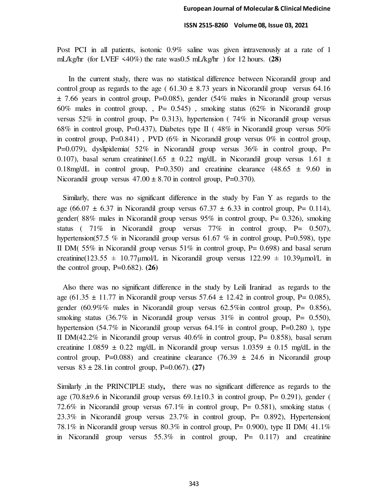Post PCI in all patients, isotonic 0.9% saline was given intravenously at a rate of 1 mL/kg/hr (for LVEF <40%) the rate was0.5 mL/kg/hr ) for 12 hours. **(28)**

 In the current study, there was no statistical difference between Nicorandil group and control group as regards to the age ( $61.30 \pm 8.73$  years in Nicorandil group versus 64.16 ± 7.66 years in control group, P=0.085), gender (54% males in Nicorandil group versus 60% males in control group,  $P = 0.545$ , smoking status (62% in Nicorandil group versus  $52\%$  in control group, P= 0.313), hypertension ( $74\%$  in Nicorandil group versus 68% in control group, P=0.437), Diabetes type II (48% in Nicorandil group versus 50% in control group,  $P=0.841$ ), PVD (6% in Nicorandil group versus 0% in control group, P=0.079), dyslipidemia( $52\%$  in Nicorandil group versus  $36\%$  in control group, P= 0.107), basal serum creatinine(1.65  $\pm$  0.22 mg/dL in Nicorandil group versus 1.61  $\pm$ 0.18mg/dL in control group,  $P=0.350$  and creatinine clearance  $(48.65 \pm 9.60 \text{ in}$ Nicorandil group versus  $47.00 \pm 8.70$  in control group, P=0.370).

 Similarly, there was no significant difference in the study by Fan Y as regards to the age (66.07  $\pm$  6.37 in Nicorandil group versus 67.37  $\pm$  6.33 in control group, P= 0.114), gender( 88% males in Nicorandil group versus 95% in control group, P= 0.326), smoking status (  $71\%$  in Nicorandil group versus  $77\%$  in control group, P= 0.507), hypertension(57.5 % in Nicorandil group versus 61.67 % in control group,  $P=0.598$ ), type II DM( 55% in Nicorandil group versus 51% in control group, P= 0.698) and basal serum creatinine(123.55  $\pm$  10.77 umol/L in Nicorandil group versus 122.99  $\pm$  10.39 umol/L in the control group, P=0.682). **(26)**

 Also there was no significant difference in the study by Leili Iranirad as regards to the age (61.35  $\pm$  11.77 in Nicorandil group versus 57.64  $\pm$  12.42 in control group, P= 0.085), gender (60.9%% males in Nicorandil group versus 62.5%in control group, P= 0.856), smoking status  $(36.7\%$  in Nicorandil group versus  $31\%$  in control group, P= 0.550), hypertension (54.7% in Nicorandil group versus  $64.1\%$  in control group, P=0.280 ), type II DM(42.2% in Nicorandil group versus  $40.6\%$  in control group, P= 0.858), basal serum creatinine 1.0859  $\pm$  0.22 mg/dL in Nicorandil group versus 1.0359  $\pm$  0.15 mg/dL in the control group, P=0.088) and creatinine clearance  $(76.39 \pm 24.6 \text{ in Nicorandil group})$ versus 83 ± 28.1in control group, P=0.067). **(27)**

Similarly ,in the PRINCIPLE study**,** there was no significant difference as regards to the age (70.8 $\pm$ 9.6 in Nicorandil group versus 69.1 $\pm$ 10.3 in control group, P= 0.291), gender ( 72.6% in Nicorandil group versus 67.1% in control group, P= 0.581), smoking status ( 23.3% in Nicorandil group versus 23.7% in control group, P= 0.892), Hypertension( 78.1% in Nicorandil group versus 80.3% in control group, P= 0.900), type II DM( $41.1\%$ in Nicorandil group versus 55.3% in control group, P= 0.117) and creatinine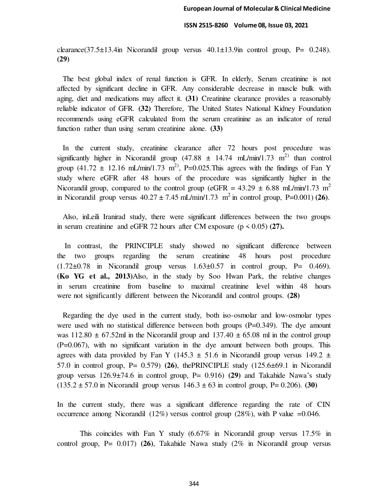clearance(37.5 $\pm$ 13.4in Nicorandil group versus 40.1 $\pm$ 13.9in control group, P= 0.248). **(29)**

 The best global index of renal function is GFR. In elderly, Serum creatinine is not affected by significant decline in GFR. Any considerable decrease in muscle bulk with aging, diet and medications may affect it. **(31)** Creatinine clearance provides a reasonably reliable indicator of GFR. **(32)** Therefore, The United States National Kidney Foundation recommends using eGFR calculated from the serum creatinine as an indicator of renal function rather than using serum creatinine alone. **(33)**

 In the current study, creatinine clearance after 72 hours post procedure was significantly higher in Nicorandil group (47.88  $\pm$  14.74 mL/min/1.73 m<sup>2)</sup> than control group (41.72  $\pm$  12.16 mL/min/1.73 m<sup>2</sup>), P=0.025. This agrees with the findings of Fan Y study where eGFR after 48 hours of the procedure was significantly higher in the Nicorandil group, compared to the control group (eGFR =  $43.29 \pm 6.88$  mL/min/1.73 m<sup>2</sup> in Nicorandil group versus  $40.27 \pm 7.45$  mL/min/1.73 m<sup>2</sup> in control group, P=0.001) **(26)**.

 Also, inLeili Iranirad study, there were significant differences between the two groups in serum creatinine and eGFR 72 hours after CM exposure  $(p \le 0.05)$  (27).

 In contrast, the PRINCIPLE study showed no significant difference between the two groups regarding the serum creatinine 48 hours post procedure  $(1.72\pm0.78$  in Nicorandil group versus  $1.63\pm0.57$  in control group, P= 0.469). **(Ko YG et al., 2013)**Also, in the study by Soo Hwan Park, the relative changes in serum creatinine from baseline to maximal creatinine level within 48 hours were not significantly different between the Nicorandil and control groups. **(28)** 

 Regarding the dye used in the current study, both iso-osmolar and low-osmolar types were used with no statistical difference between both groups  $(P=0.349)$ . The dye amount was  $112.80 \pm 67.52$ ml in the Nicorandil group and  $137.40 \pm 65.08$  ml in the control group (P=0.067), with no significant variation in the dye amount between both groups. This agrees with data provided by Fan Y (145.3  $\pm$  51.6 in Nicorandil group versus 149.2  $\pm$ 57.0 in control group, P= 0.579) **(26)**, thePRINCIPLE study (125.6±69.1 in Nicorandil group versus 126.9±74.6 in control group, P= 0.916) **(29)** and Takahide Nawa's study  $(135.2 \pm 57.0 \text{ in Nicorandil group versus } 146.3 \pm 63 \text{ in control group, P= 0.206).$  (30)

In the current study, there was a significant difference regarding the rate of CIN occurrence among Nicorandil (12%) versus control group (28%), with P value  $=0.046$ .

This coincides with Fan Y study (6.67% in Nicorandil group versus 17.5% in control group, P= 0.017) **(26)**, Takahide Nawa study (2% in Nicorandil group versus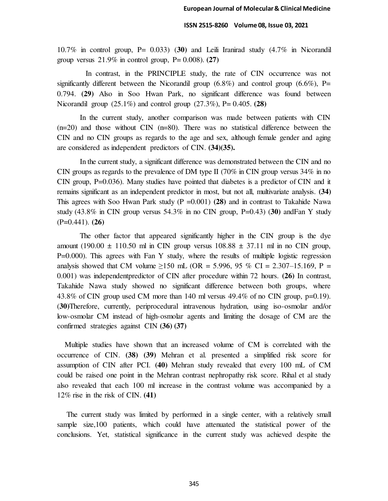10.7% in control group, P= 0.033) (**30)** and Leili Iranirad study (4.7% in Nicorandil group versus 21.9% in control group, P= 0.008). **(27)** 

 In contrast, in the PRINCIPLE study, the rate of CIN occurrence was not significantly different between the Nicorandil group  $(6.8\%)$  and control group  $(6.6\%)$ , P= 0.794. **(29)** Also in Soo Hwan Park, no significant difference was found between Nicorandil group (25.1%) and control group (27.3%), P= 0.405. **(28)** 

In the current study, another comparison was made between patients with CIN (n=20) and those without CIN (n=80). There was no statistical difference between the CIN and no CIN groups as regards to the age and sex, although female gender and aging are considered as independent predictors of CIN. **(34)(35).** 

In the current study, a significant difference was demonstrated between the CIN and no CIN groups as regards to the prevalence of DM type II (70% in CIN group versus  $34\%$  in no CIN group,  $P=0.036$ ). Many studies have pointed that diabetes is a predictor of CIN and it remains significant as an independent predictor in most, but not all, multivariate analysis. **(34)** This agrees with Soo Hwan Park study (P =0.001) **(28)** and in contrast to Takahide Nawa study (43.8% in CIN group versus 54.3% in no CIN group, P=0.43) (**30)** andFan Y study (P=0.441). **(26)** 

The other factor that appeared significantly higher in the CIN group is the dye amount (190.00  $\pm$  110.50 ml in CIN group versus 108.88  $\pm$  37.11 ml in no CIN group, P=0.000). This agrees with Fan Y study, where the results of multiple logistic regression analysis showed that CM volume  $\geq 150$  mL (OR = 5.996, 95 % CI = 2.307–15.169, P = 0.001) was independentpredictor of CIN after procedure within 72 hours. **(26)** In contrast, Takahide Nawa study showed no significant difference between both groups, where 43.8% of CIN group used CM more than 140 ml versus 49.4% of no CIN group, p=0.19). (**30)**Therefore, currently, periprocedural intravenous hydration, using iso-osmolar and/or low-osmolar CM instead of high-osmolar agents and limiting the dosage of CM are the confirmed strategies against CIN **(36) (37)**

 Multiple studies have shown that an increased volume of CM is correlated with the occurrence of CIN. **(38) (39)** Mehran et al. presented a simplified risk score for assumption of CIN after PCI. **(40)** Mehran study revealed that every 100 mL of CM could be raised one point in the Mehran contrast nephropathy risk score. Rihal et al study also revealed that each 100 ml increase in the contrast volume was accompanied by a 12% rise in the risk of CIN. **(41)** 

 The current study was limited by performed in a single center, with a relatively small sample size,100 patients, which could have attenuated the statistical power of the conclusions. Yet, statistical significance in the current study was achieved despite the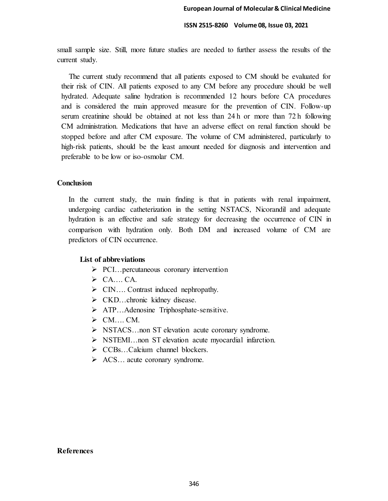small sample size. Still, more future studies are needed to further assess the results of the current study.

 The current study recommend that all patients exposed to CM should be evaluated for their risk of CIN. All patients exposed to any CM before any procedure should be well hydrated. Adequate saline hydration is recommended 12 hours before CA procedures and is considered the main approved measure for the prevention of CIN. Follow-up serum creatinine should be obtained at not less than 24 h or more than 72 h following CM administration. Medications that have an adverse effect on renal function should be stopped before and after CM exposure. The volume of CM administered, particularly to high-risk patients, should be the least amount needed for diagnosis and intervention and preferable to be low or iso-osmolar CM.

# **Conclusion**

In the current study, the main finding is that in patients with renal impairment, undergoing cardiac catheterization in the setting NSTACS, Nicorandil and adequate hydration is an effective and safe strategy for decreasing the occurrence of CIN in comparison with hydration only. Both DM and increased volume of CM are predictors of CIN occurrence.

# **List of abbreviations**

- $\triangleright$  PCI... percutaneous coronary intervention
- $\triangleright$  CA.... CA.
- ▶ CIN.... Contrast induced nephropathy.
- $\triangleright$  CKD...chronic kidney disease.
- ATP…Adenosine Triphosphate-sensitive.
- $\triangleright$  CM.... CM.
- NSTACS…non ST elevation acute coronary syndrome.
- $\triangleright$  NSTEMI... non ST elevation acute myocardial infarction.
- CCBs…Calcium channel blockers.
- ACS… acute coronary syndrome.

### **References**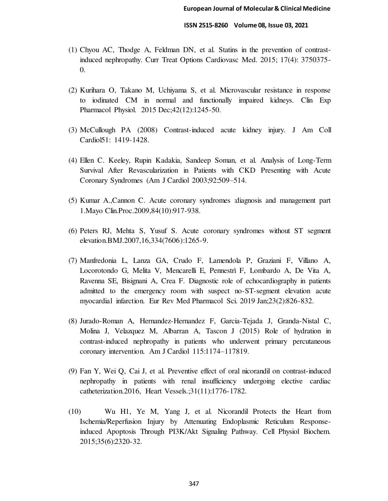- (1) Chyou AC, Thodge A, Feldman DN, et al. Statins in the prevention of contrastinduced nephropathy. Curr Treat Options Cardiovasc Med. 2015; 17(4): 3750375- 0.
- (2) Kurihara O, Takano M, Uchiyama S, et al. Microvascular resistance in response to iodinated CM in normal and functionally impaired kidneys. Clin Exp Pharmacol Physiol. 2015 Dec;42(12):1245-50.
- (3) McCullough PA (2008) Contrast-induced acute kidney injury. J Am Coll Cardiol51: 1419-1428.
- (4) Ellen C. Keeley, Rupin Kadakia, Sandeep Soman, et al. Analysis of Long-Term Survival After Revascularization in Patients with CKD Presenting with Acute Coronary Syndromes (Am J Cardiol 2003;92:509–514.
- (5) Kumar A.,Cannon C. Acute coronary syndromes :diagnosis and management part 1.Mayo Clin.Proc.2009,84(10):917-938.
- (6) Peters RJ, Mehta S, Yusuf S. Acute coronary syndromes without ST segment elevation.BMJ.2007,16,334(7606):1265-9.
- (7) Manfredonia L, Lanza GA, Crudo F, Lamendola P, Graziani F, Villano A, Locorotondo G, Melita V, Mencarelli E, Pennestrì F, Lombardo A, De Vita A, Ravenna SE, Bisignani A, Crea F. Diagnostic role of echocardiography in patients admitted to the emergency room with suspect no-ST-segment elevation acute myocardial infarction. Eur Rev Med Pharmacol Sci. 2019 Jan;23(2):826-832.
- (8) Jurado-Roman A, Hernandez-Hernandez F, Garcia-Tejada J, Granda-Nistal C, Molina J, Velazquez M, Albarran A, Tascon J (2015) Role of hydration in contrast-induced nephropathy in patients who underwent primary percutaneous coronary intervention. Am J Cardiol 115:1174–117819.
- (9) Fan Y, Wei Q, Cai J, et al. Preventive effect of oral nicorandil on contrast-induced nephropathy in patients with renal insufficiency undergoing elective cardiac catheterization.2016, Heart Vessels.;31(11):1776-1782.
- (10) Wu H1, Ye M, Yang J, et al. Nicorandil Protects the Heart from Ischemia/Reperfusion Injury by Attenuating Endoplasmic Reticulum Responseinduced Apoptosis Through PI3K/Akt Signaling Pathway. Cell Physiol Biochem. 2015;35(6):2320-32.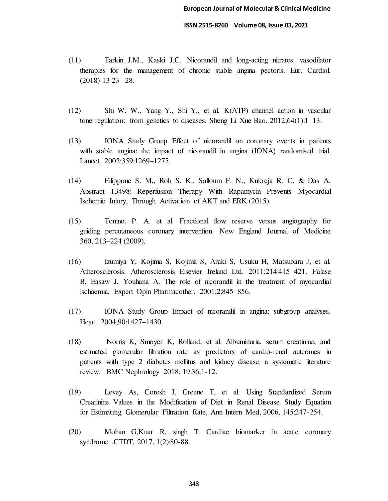- (11) Tarkin J.M., Kaski J.C. Nicorandil and long‐acting nitrates: vasodilator therapies for the management of chronic stable angina pectoris. Eur. Cardiol. (2018) 13 23– 28.
- (12) Shi W. W., Yang Y., Shi Y., et al. K(ATP) channel action in vascular tone regulation: from genetics to diseases. Sheng Li Xue Bao. 2012;64(1):1–13.
- (13) IONA Study Group Effect of nicorandil on coronary events in patients with stable angina: the impact of nicorandil in angina (IONA) randomised trial. Lancet. 2002;359:1269–1275.
- (14) Filippone S. M., Roh S. K., Salloum F. N., Kukreja R. C. & Das A. Abstract 13498: Reperfusion Therapy With Rapamycin Prevents Myocardial Ischemic Injury, Through Activation of AKT and ERK.(2015).
- (15) Tonino, P. A. et al. Fractional flow reserve versus angiography for guiding percutaneous coronary intervention. New England Journal of Medicine 360, 213–224 (2009).
- (16) Izumiya Y, Kojima S, Kojima S, Araki S, Usuku H, Matsubara J, et al. Atherosclerosis. Atherosclerosis Elsevier Ireland Ltd. 2011;214:415–421. Falase B, Easaw J, Youhana A. The role of nicorandil in the treatment of myocardial ischaemia. Expert Opin Pharmacother. 2001;2:845–856.
- (17) IONA Study Group Impact of nicorandil in angina: subgroup analyses. Heart. 2004;90:1427–1430.
- (18) Norris K, Smoyer K, Rolland, et al. Albuminuria, serum creatinine, and estimated glomerular filtration rate as predictors of cardio-renal outcomes in patients with type 2 diabetes mellitus and kidney disease: a systematic literature review. BMC Nephrology 2018; 19:36,1-12.
- (19) Levey As, Coresh J, Greene T, et al. Using Standardized Serum Creatinine Values in the Modification of Diet in Renal Disease Study Equation for Estimating Glomerular Filtration Rate, Ann Intern Med, 2006, 145:247-254.
- (20) Mohan G,Kuar R, singh T. Cardiac biomarker in acute coronary syndrome .CTDT, 2017, 1(2):80-88.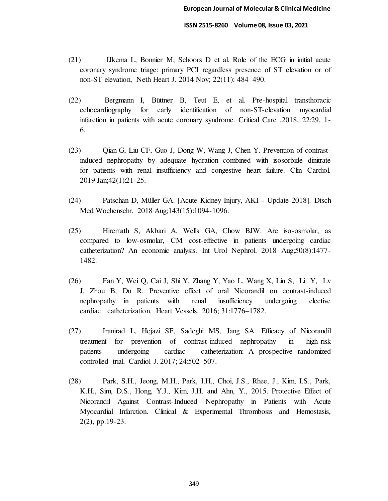- (21) IJkema L, Bonnier M, Schoors D et al. Role of the ECG in initial acute coronary syndrome triage: primary PCI regardless presence of ST elevation or of non-ST elevation, Neth Heart J. 2014 Nov; 22(11): 484–490.
- (22) Bergmann I, Büttner B, Teut E, et al. Pre-hospital transthoracic echocardiography for early identification of non-ST-elevation myocardial infarction in patients with acute coronary syndrome. Critical Care ,2018, 22:29, 1- 6.
- (23) Qian G, Liu CF, Guo J, Dong W, Wang J, Chen Y. Prevention of contrastinduced nephropathy by adequate hydration combined with isosorbide dinitrate for patients with renal insufficiency and congestive heart failure. Clin Cardiol. 2019 Jan;42(1):21-25.
- (24) Patschan D, Müller GA. [Acute Kidney Injury, AKI Update 2018]. Dtsch Med Wochenschr. 2018 Aug;143(15):1094-1096.
- (25) Hiremath S, Akbari A, Wells GA, Chow BJW. Are iso-osmolar, as compared to low-osmolar, CM cost-effective in patients undergoing cardiac catheterization? An economic analysis. Int Urol Nephrol. 2018 Aug;50(8):1477- 1482.
- (26) Fan Y, Wei Q, Cai J, Shi Y, Zhang Y, Yao L, Wang X, Lin S, Li Y, Lv J, Zhou B, Du R. Preventive effect of oral Nicorandil on contrast-induced nephropathy in patients with renal insufficiency undergoing elective cardiac catheterization. Heart Vessels. 2016; 31:1776–1782.
- (27) Iranirad L, Hejazi SF, Sadeghi MS, Jang SA. Efficacy of Nicorandil treatment for prevention of contrast-induced nephropathy in high-risk patients undergoing cardiac catheterization: A prospective randomized controlled trial. Cardiol J. 2017; 24:502–507.
- (28) Park, S.H., Jeong, M.H., Park, I.H., Choi, J.S., Rhee, J., Kim, I.S., Park, K.H., Sim, D.S., Hong, Y.J., Kim, J.H. and Ahn, Y., 2015. Protective Effect of Nicorandil Against Contrast-Induced Nephropathy in Patients with Acute Myocardial Infarction. Clinical & Experimental Thrombosis and Hemostasis, 2(2), pp.19-23.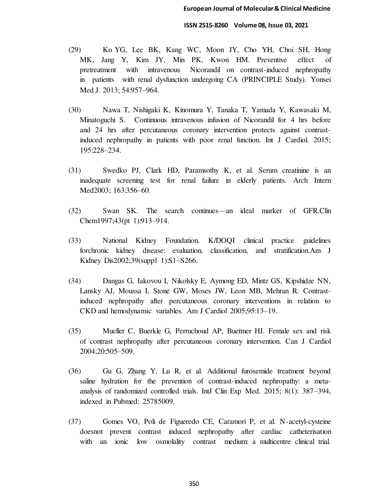- (29) Ko YG, Lee BK, Kang WC, Moon JY, Cho YH, Choi SH, Hong MK, Jang Y, Kim JY, Min PK, Kwon HM. Preventive effect of pretreatment with intravenous Nicorandil on contrast-induced nephropathy in patients with renal dysfunction undergoing CA (PRINCIPLE Study). Yonsei Med J. 2013; 54:957–964.
- (30) Nawa T, Nishigaki K, Kinomura Y, Tanaka T, Yamada Y, Kawasaki M, Minatoguchi S. Continuous intravenous infusion of Nicorandil for 4 hrs before and 24 hrs after percutaneous coronary intervention protects against contrastinduced nephropathy in patients with poor renal function. Int J Cardiol. 2015; 195:228–234.
- (31) Swedko PJ, Clark HD, Paramsothy K, et al. Serum creatinine is an inadequate screening test for renal failure in elderly patients. Arch Intern Med2003; 163:356–60.
- (32) Swan SK. The search continues—an ideal marker of GFR.Clin Chem1997;43(pt 1):913–914.
- (33) National Kidney Foundation. K/DOQI clinical practice guidelines forchronic kidney disease: evaluation, classification, and stratification.Am J Kidney Dis2002;39(suppl 1):S1–S266.
- (34) Dangas G, Iakovou I, Nikolsky E, Aymong ED, Mintz GS, Kipshidze NN, Lansky AJ, Moussa I, Stone GW, Moses JW, Leon MB, Mehran R. Contrastinduced nephropathy after percutaneous coronary interventions in relation to CKD and hemodynamic variables. Am J Cardiol 2005;95:13–19.
- (35) Mueller C, Buerkle G, Perruchoud AP, Buettner HJ. Female sex and risk of contrast nephropathy after percutaneous coronary intervention. Can J Cardiol 2004;20:505–509.
- (36) Gu G, Zhang Y, Lu R, et al. Additional furosemide treatment beyond saline hydration for the prevention of contrast-induced nephropathy: a metaanalysis of randomized controlled trials. IntJ Clin Exp Med. 2015; 8(1): 387–394, indexed in Pubmed: 25785009.
- (37) Gomes VO, Poli de Figueredo CE, Caramori P, et al. N-acetyl-cysteine doesnot prevent contrast induced nephropathy after cardiac catheterisation with an ionic low osmolality contrast medium: a multicentre clinical trial.